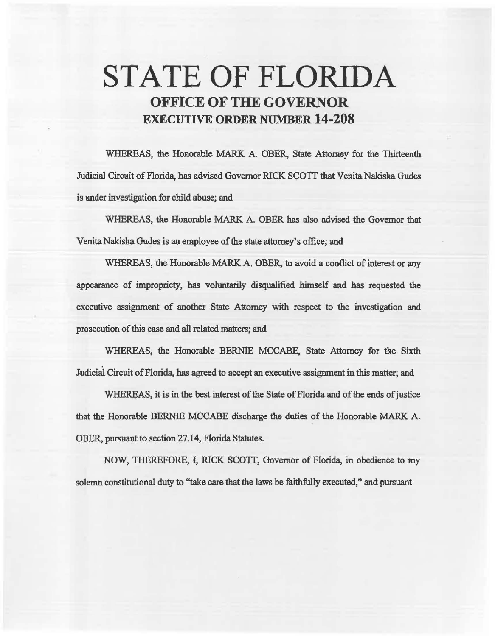# STATE OF FLORIDA **OFFICE OF THE GOVERNOR EXECUTIVE ORDER NUMBER 14-208**

WHEREAS, the Honorable MARK A. OBER, State Attorney for the Thirteenth Judicial Circuit of Florida, has advised Governor RICK SCOTT that Venita Nakisha Gudes is under investigation for child abuse; and

WHEREAS, the Honorable MARK A. OBER has also advised the Governor that Venita Nakisha Gudes is an employee of the state attorney's office; and

WHEREAS, the Honorable MARK A. OBER, to avoid a conflict of interest or any appearance of impropriety, has voluntarily disqualified himself and has requested the executive assignment of another State Attorney with respect to the investigation and prosecution of this case and all related matters; and

WHEREAS, the Honorable BERNIE MCCABE, State Attorney for the Sixth Judicial Circuit of Florida, has agreed to accept an executive assignment in this matter; and

WHEREAS, it is in the best interest of the State of Florida and of the ends of justice that the Honorable BERNIB MCCABE discharge the duties of the Honorable MARK A. OBER, pursuant to section 27.14, Florida Statutes.

NOW, THEREFORE, I, RICK SCOTT, Governor of Florida, in obedience to my solemn constitutional duty to "take care that the laws be faithfully executed," and pursuant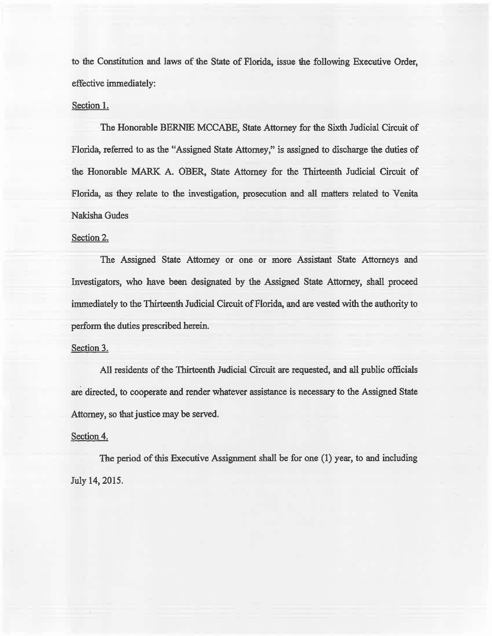to the Constitution and laws of the State of Florida, issue the following Executive Order, effective immediately:

## Section 1.

The Honorable BERNIE MCCABE, State Attorney for the Sixth Judicial Circuit of Florida, referred to as the "Assigned State Attorney," is assigned to discharge the duties of the Honorable MARK A. OBER, State Attorney for the Thirteenth Judicial Circuit of Florida, as they relate to the investigation, prosecution and all matters related to Venita Nakisha Gudes

## Section 2.

The Assigned State Attorney or one or more Assistant State Attorneys and Investigators, who have been designated by the Assigned State Attorney, shall proceed immediately to the Thirteenth Judicial Circuit of Florida, and are vested with the authority to perform the duties prescribed herein.

### Section 3.

All residents of the Thirteenth Judicial Circuit are requested, and all public officials are directed, to cooperate and render whatever assistance is necessary to the Assigned State Attorney, so that justice may be served.

### Section 4.

The period of this Executive Assignment shall be for one  $(1)$  year, to and including July 14, 2015.